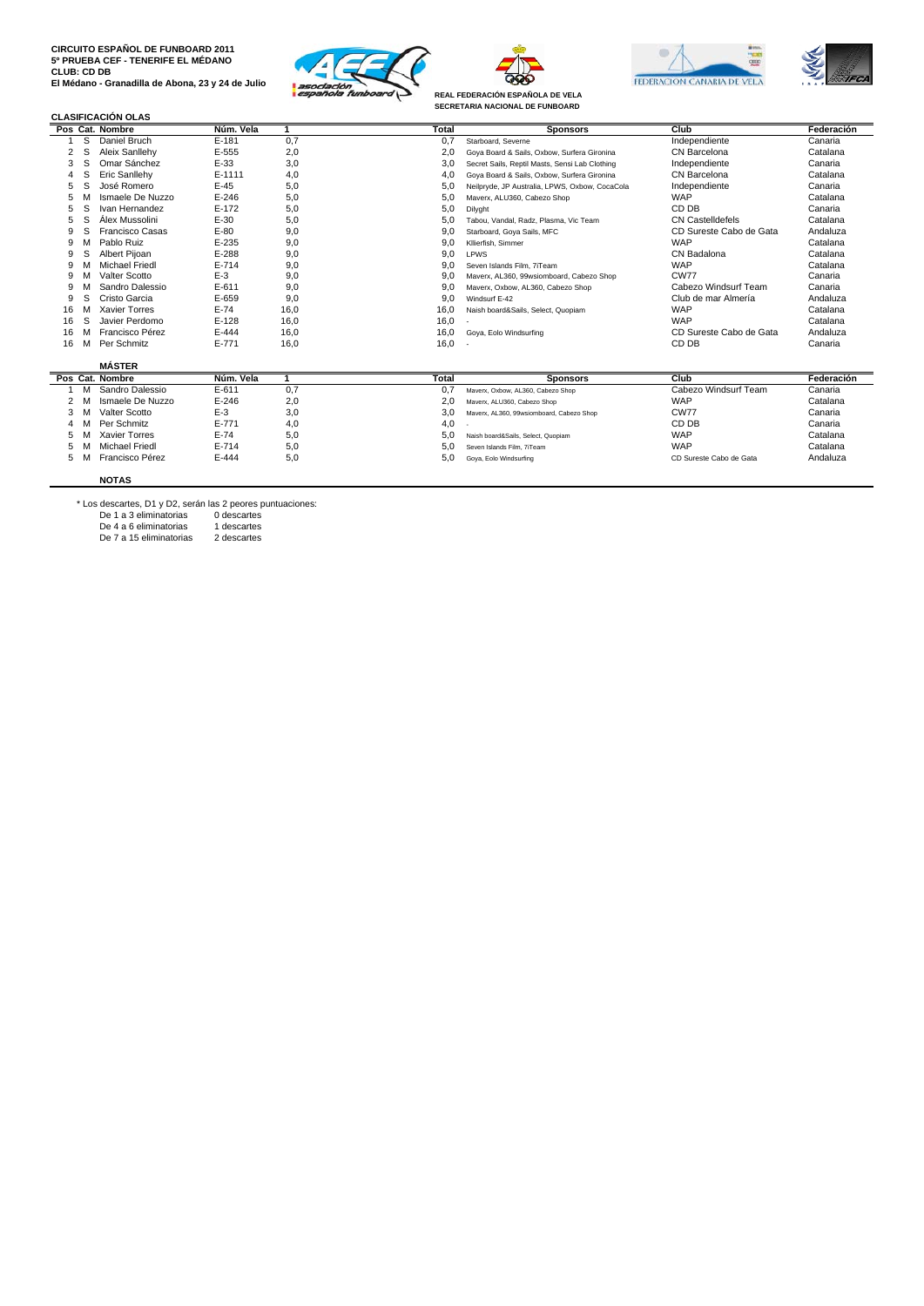







**REAL FEDERACIÓN ESPAÑOLA DE VELA SECRETARIA NACIONAL DE FUNBOARD**

## **CLASIFICACIÓN OLAS**

|    |   | Pos Cat. Nombre       | Núm. Vela |      | <b>Total</b> | <b>Sponsors</b>                                | Club                    | Federación |
|----|---|-----------------------|-----------|------|--------------|------------------------------------------------|-------------------------|------------|
|    | s | Daniel Bruch          | $E-181$   | 0,7  | 0,7          | Starboard, Severne                             | Independiente           | Canaria    |
|    |   | Aleix Sanllehv        | E-555     | 2,0  | 2,0          | Gova Board & Sails, Oxbow, Surfera Gironina    | CN Barcelona            | Catalana   |
|    | S | Omar Sánchez          | $E-33$    | 3,0  | 3.0          | Secret Sails, Reptil Masts, Sensi Lab Clothing | Independiente           | Canaria    |
|    |   | Eric Sanllehy         | E-1111    | 4,0  | 4,0          | Goya Board & Sails, Oxbow, Surfera Gironina    | CN Barcelona            | Catalana   |
|    |   | José Romero           | $E-45$    | 5,0  | 5,0          | Neilpryde, JP Australia, LPWS, Oxbow, CocaCola | Independiente           | Canaria    |
|    |   | Ismaele De Nuzzo      | $E - 246$ | 5,0  | 5,0          | Maverx, ALU360, Cabezo Shop                    | <b>WAP</b>              | Catalana   |
|    | S | Ivan Hernandez        | $E-172$   | 5,0  | 5,0          | Dilyght                                        | CD DB                   | Canaria    |
|    |   | Álex Mussolini        | $E - 30$  | 5,0  | 5.0          | Tabou, Vandal, Radz, Plasma, Vic Team          | CN Castelldefels        | Catalana   |
| 9  |   | Francisco Casas       | $E-80$    | 9,0  | 9,0          | Starboard, Goya Sails, MFC                     | CD Sureste Cabo de Gata | Andaluza   |
| 9  |   | Pablo Ruiz            | $E - 235$ | 9,0  | 9,0          | Kllierfish, Simmer                             | <b>WAP</b>              | Catalana   |
| 9  | s | Albert Pijoan         | $E-288$   | 9,0  | 9,0          | LPWS                                           | CN Badalona             | Catalana   |
| ä  |   | <b>Michael Friedl</b> | $E - 714$ | 9,0  | 9.0          | Seven Islands Film, 7iTeam                     | <b>WAP</b>              | Catalana   |
| 9  |   | Valter Scotto         | $E-3$     | 9,0  | 9.0          | Maverx, AL360, 99wsiomboard, Cabezo Shop       | <b>CW77</b>             | Canaria    |
| ä  |   | Sandro Dalessio       | $E - 611$ | 9,0  | 9,0          | Maverx, Oxbow, AL360, Cabezo Shop              | Cabezo Windsurf Team    | Canaria    |
| 9  | S | Cristo Garcia         | E-659     | 9,0  | 9,0          | Windsurf E-42                                  | Club de mar Almería     | Andaluza   |
| 16 |   | <b>Xavier Torres</b>  | $E-74$    | 16.0 | 16,0         | Naish board&Sails, Select, Quopiam             | <b>WAP</b>              | Catalana   |
| 16 | S | Javier Perdomo        | $E-128$   | 16.0 | 16,0         |                                                | <b>WAP</b>              | Catalana   |
| 16 |   | Francisco Pérez       | $E - 444$ | 16,0 | 16,0         | Goya, Eolo Windsurfing                         | CD Sureste Cabo de Gata | Andaluza   |
| 16 | м | Per Schmitz           | $E - 771$ | 16.0 | 16,0         |                                                | CD DB                   | Canaria    |
|    |   | <b>MÁSTER</b>         |           |      |              |                                                |                         |            |
|    |   | Pos Cat. Nombre       | Núm. Vela |      | <b>Total</b> | <b>Sponsors</b>                                | Club                    | Federación |
|    |   | Sandro Dalessio       | $E - 611$ | 0.7  | 0,7          | Maverx, Oxbow, AL360, Cabezo Shop              | Cabezo Windsurf Team    | Canaria    |
|    |   | Ismaele De Nuzzo      | $E - 246$ | 2,0  | 2,0          | Maverx, ALU360, Cabezo Shop                    | <b>WAP</b>              | Catalana   |
|    |   | Valter Scotto         | $E-3$     | 3,0  | 3,0          | Maverx, AL360, 99wsiomboard, Cabezo Shop       | <b>CW77</b>             | Canaria    |
|    |   | Per Schmitz           | $E - 771$ | 4,0  | 4,0          |                                                | CD DB                   | Canaria    |
|    |   | <b>Xavier Torres</b>  | $E-74$    | 5,0  | 5,0          | Naish board&Sails, Select, Quopiam             | <b>WAP</b>              | Catalana   |
|    |   | <b>Michael Friedl</b> | $E - 714$ | 5,0  | 5.0          | Seven Islands Film, 7iTeam                     | <b>WAP</b>              | Catalana   |
|    |   | Francisco Pérez       | E-444     | 5,0  | 5,0          | Goya, Eolo Windsurfing                         | CD Sureste Cabo de Gata | Andaluza   |

## **NOTAS**

\* Los descartes, D1 y D2, serán las 2 peores puntuaciones: De 1 a 3 eliminatorias 0 descartes De 4 a 6 eliminatorias 1 descartes De 7 a 15 eliminatorias 2 descartes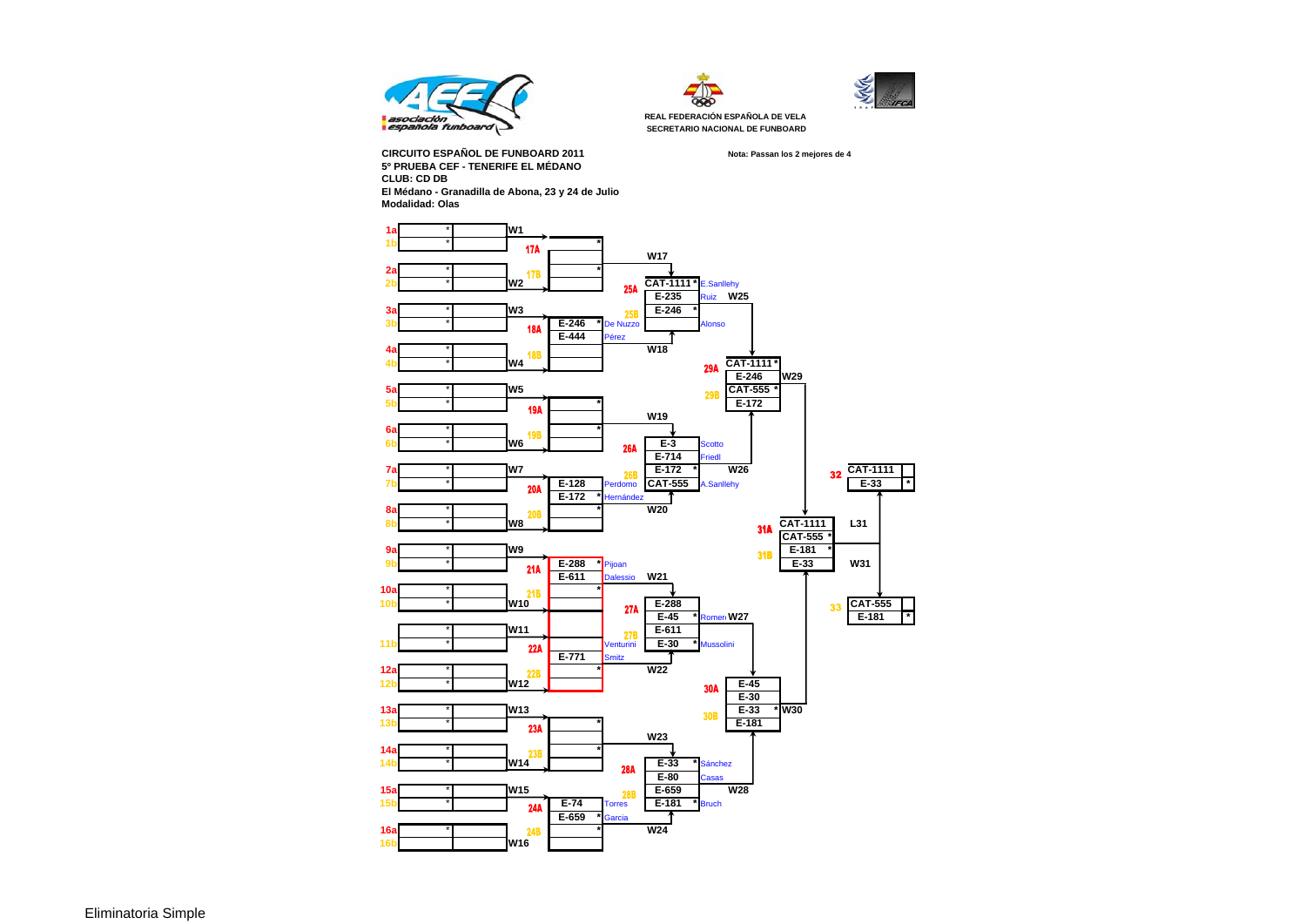





**REAL FEDERACIÓN ESPAÑOLA DE VELA SECRETARIO NACIONAL DE FUNBOARD**

**Nota: Passan los 2 mejores de 4**

**CIRCUITO ESPAÑOL DE FUNBOARD 20115º PRUEBA CEF - TENERIFE EL MÉDANOCLUB: CD DB El Médano - Granadilla de Abona, 23 y 24 de Julio Modalidad: Olas**



Eliminatoria Simple